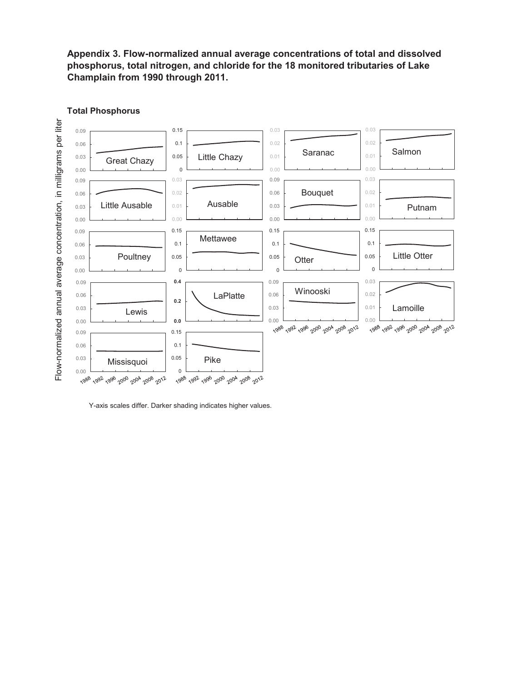

Y-axis scales differ. Darker shading indicates higher values.

**Appendix 3. Flow-normalized annual average concentrations of total and dissolved phosphorus, total nitrogen, and chloride for the 18 monitored tributaries of Lake Champlain from 1990 through 2011.**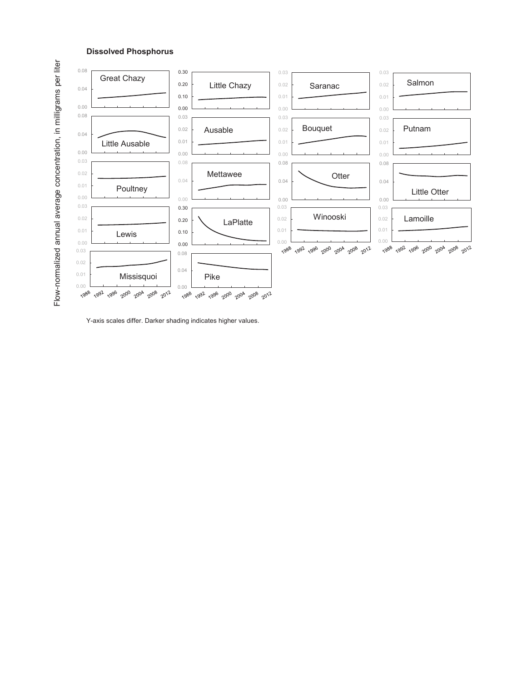## **Dissolved Pho sphorus**

Flow-normalized annual average concentration, in milligrams per liter Flow-normalized annual average concentration, in milligrams per liter



Y-axis scales differ. Darker shading indicates higher values.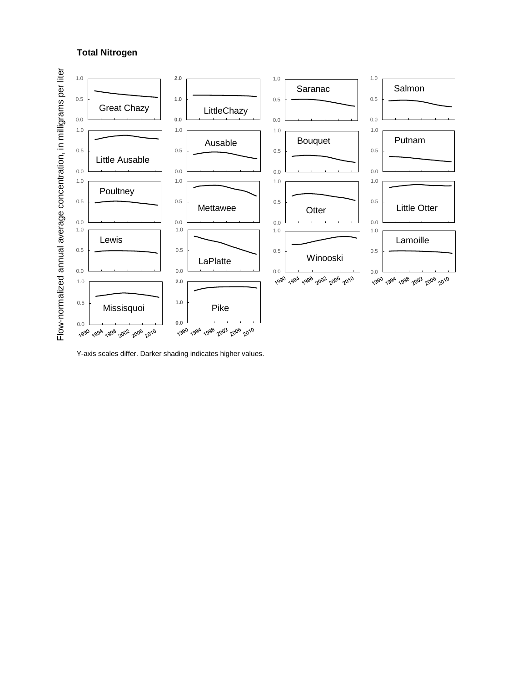Y-axis scales differ. Darker shading indicates higher values.

## **Total Nitrogen**